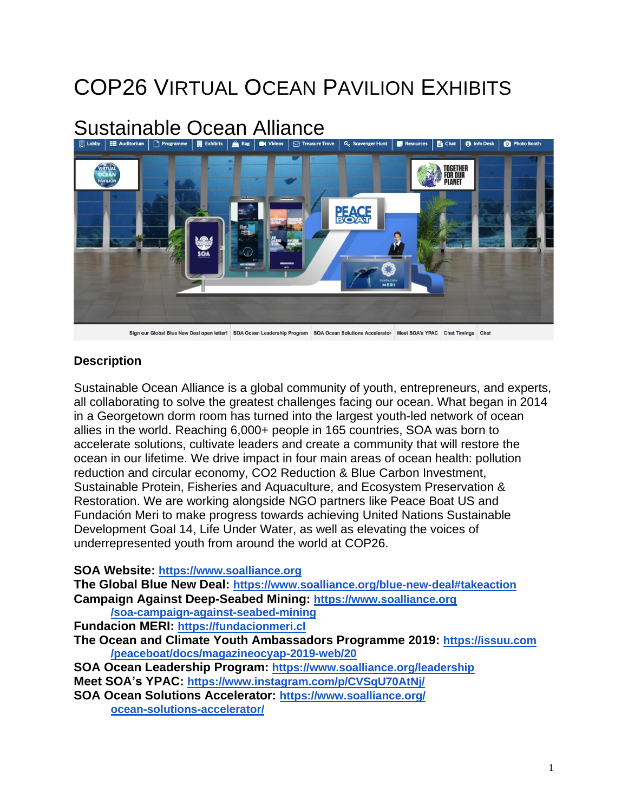## COP26 VIRTUAL OCEAN PAVILION EXHIBITS

# Sustainable Ocean Alliance<br>Dusby | El Auditorium | Di Programme | | || Exhibits | @ Bag | || avadeos | | |2] Treasure Trove |



### **Description**

Sustainable Ocean Alliance is a global community of youth, entrepreneurs, and experts, all collaborating to solve the greatest challenges facing our ocean. What began in 2014 in a Georgetown dorm room has turned into the largest youth-led network of ocean allies in the world. Reaching 6,000+ people in 165 countries, SOA was born to accelerate solutions, cultivate leaders and create a community that will restore the ocean in our lifetime. We drive impact in four main areas of ocean health: pollution reduction and circular economy, CO2 Reduction & Blue Carbon Investment, Sustainable Protein, Fisheries and Aquaculture, and Ecosystem Preservation & Restoration. We are working alongside NGO partners like Peace Boat US and Fundación Meri to make progress towards achieving United Nations Sustainable Development Goal 14, Life Under Water, as well as elevating the voices of underrepresented youth from around the world at COP26.

#### **SOA Website: [https://www.soalliance.org](https://www.soalliance.org/)**

**The Global Blue New Deal: [https://www.soalliance.org/blue-new-deal#takeaction](https://www.soalliance.org/blue-new-deal%23takeaction) Campaign Against Deep-Seabed Mining: [https://www.soalliance.org](https://www.soalliance.org/soa-campaign-against-seabed-mining) [/soa-campaign-against-seabed-mining](https://www.soalliance.org/soa-campaign-against-seabed-mining) Fundacion MERI: [https://fundacionmeri.cl](https://fundacionmeri.cl/) The Ocean and Climate Youth Ambassadors Programme 2019: [https://issuu.com](https://issuu.com/peaceboat/docs/magazineocyap-2019-web/20) [/peaceboat/docs/magazineocyap-2019-web/20](https://issuu.com/peaceboat/docs/magazineocyap-2019-web/20) SOA Ocean Leadership Program: <https://www.soalliance.org/leadership> Meet SOA's YPAC: <https://www.instagram.com/p/CVSqU70AtNj/> SOA Ocean Solutions Accelerator: [https://www.soalliance.org/](https://www.soalliance.org/ocean-solutions-accelerator/) [ocean-solutions-accelerator/](https://www.soalliance.org/ocean-solutions-accelerator/)**